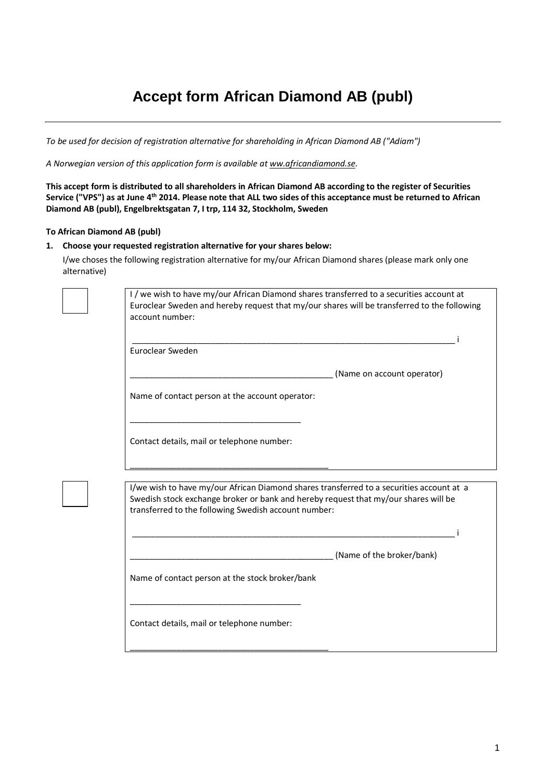## **Accept form African Diamond AB (publ)**

*To be used for decision of registration alternative for shareholding in African Diamond AB ("Adiam")*

*A Norwegian version of this application form is available at [ww.africandiamond.se.](http://www.paresources.se/)*

**This accept form is distributed to all shareholders in African Diamond AB according to the register of Securities Service ("VPS") as at June 4th 2014. Please note that ALL two sides of this acceptance must be returned to African Diamond AB (publ), Engelbrektsgatan 7, I trp, 114 32, Stockholm, Sweden**

## **To African Diamond AB (publ)**

## **1. Choose your requested registration alternative for your shares below:**

I/we choses the following registration alternative for my/our African Diamond shares (please mark only one alternative)

|  | account number:                                                                                                                                                                                                                         |
|--|-----------------------------------------------------------------------------------------------------------------------------------------------------------------------------------------------------------------------------------------|
|  | Euroclear Sweden                                                                                                                                                                                                                        |
|  | (Name on account operator)                                                                                                                                                                                                              |
|  | Name of contact person at the account operator:                                                                                                                                                                                         |
|  | Contact details, mail or telephone number:                                                                                                                                                                                              |
|  |                                                                                                                                                                                                                                         |
|  | I/we wish to have my/our African Diamond shares transferred to a securities account at a<br>Swedish stock exchange broker or bank and hereby request that my/our shares will be<br>transferred to the following Swedish account number: |
|  |                                                                                                                                                                                                                                         |
|  | (Name of the broker/bank)                                                                                                                                                                                                               |
|  | Name of contact person at the stock broker/bank                                                                                                                                                                                         |
|  | Contact details, mail or telephone number:                                                                                                                                                                                              |